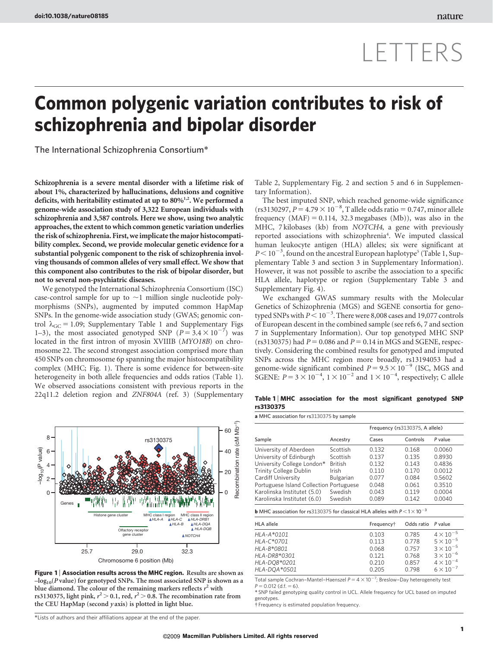# LETTERS

# Common polygenic variation contributes to risk of schizophrenia and bipolar disorder

The International Schizophrenia Consortium\*

Schizophrenia is a severe mental disorder with a lifetime risk of about 1%, characterized by hallucinations, delusions and cognitive deficits, with heritability estimated at up to  $80\%$ <sup>1,2</sup>. We performed a genome-wide association study of 3,322 European individuals with schizophrenia and 3,587 controls. Here we show, using two analytic approaches, the extent to which common genetic variation underlies the risk of schizophrenia. First, we implicate the major histocompatibility complex. Second, we provide molecular genetic evidence for a substantial polygenic component to the risk of schizophrenia involving thousands of common alleles of very small effect. We show that this component also contributes to the risk of bipolar disorder, but not to several non-psychiatric diseases.

We genotyped the International Schizophrenia Consortium (ISC) case-control sample for up to  $\sim$ 1 million single nucleotide polymorphisms (SNPs), augmented by imputed common HapMap SNPs. In the genome-wide association study (GWAS; genomic control  $\lambda_{\text{GC}} = 1.09$ ; Supplementary Table 1 and Supplementary Figs 1–3), the most associated genotyped SNP  $(P = 3.4 \times 10^{-7})$  was located in the first intron of myosin XVIIIB (MYO18B) on chromosome 22. The second strongest association comprised more than 450 SNPs on chromosome 6p spanning the major histocompatibility complex (MHC; Fig. 1). There is some evidence for between-site heterogeneity in both allele frequencies and odds ratios (Table 1). We observed associations consistent with previous reports in the 22q11.2 deletion region and ZNF804A (ref. 3) (Supplementary



Figure 1 | Association results across the MHC region. Results are shown as  $-log<sub>10</sub>(P value)$  for genotyped SNPs. The most associated SNP is shown as a blue diamond. The colour of the remaining markers reflects  $r^2$  with rs3130375, light pink,  $r^2$   $>$  0.1, red,  $r^2$   $>$  0.8. The recombination rate from the CEU HapMap (second  $y$  axis) is plotted in light blue.

\*Lists of authors and their affiliations appear at the end of the paper.

Table 2, Supplementary Fig. 2 and section 5 and 6 in Supplementary Information).

The best imputed SNP, which reached genome-wide significance  $(rs3130297, P = 4.79 \times 10^{-8}, T$  allele odds ratio = 0.747, minor allele frequency  $(MAF) = 0.114$ , 32.3 megabases  $(Mb)$ ), was also in the MHC, 7 kilobases (kb) from NOTCH4, a gene with previously reported associations with schizophrenia<sup>4</sup>. We imputed classical human leukocyte antigen (HLA) alleles; six were significant at  $P < 10^{-3}$ , found on the ancestral European haplotype<sup>5</sup> (Table 1, Supplementary Table 3 and section 3 in Supplementary Information). However, it was not possible to ascribe the association to a specific HLA allele, haplotype or region (Supplementary Table 3 and Supplementary Fig. 4).

We exchanged GWAS summary results with the Molecular Genetics of Schizophrenia (MGS) and SGENE consortia for genotyped SNPs with  $P < 10^{-3}$ . There were 8,008 cases and 19,077 controls of European descent in the combined sample (see refs 6, 7 and section 7 in Supplementary Information). Our top genotyped MHC SNP (rs3130375) had  $P = 0.086$  and  $P = 0.14$  in MGS and SGENE, respectively. Considering the combined results for genotyped and imputed SNPs across the MHC region more broadly, rs13194053 had a genome-wide significant combined  $P = 9.5 \times 10^{-9}$  (ISC, MGS and SGENE:  $P = 3 \times 10^{-4}$ ,  $1 \times 10^{-2}$  and  $1 \times 10^{-4}$ , respectively; C allele

## Table 1 | MHC association for the most significant genotyped SNP rs3130375

|                                         | Ancestry       | Frequency (rs3130375, A allele) |          |         |
|-----------------------------------------|----------------|---------------------------------|----------|---------|
| Sample                                  |                | Cases                           | Controls | P value |
| University of Aberdeen                  | Scottish       | 0.132                           | 0.168    | 0.0060  |
| University of Edinburgh                 | Scottish       | 0.137                           | 0.135    | 0.8930  |
| University College London*              | <b>British</b> | 0.132                           | 0143     | 0.4836  |
| <b>Trinity College Dublin</b>           | Irish          | 0.110                           | 0170     | 0.0012  |
| Cardiff University                      | Bulgarian      | 0.077                           | 0.084    | 0.5602  |
| Portuguese Island Collection Portuguese |                | 0.048                           | 0.061    | 0.3510  |
| Karolinska Institutet (5.0)             | Swedish        | 0.043                           | 0.119    | 0.0004  |
| Karolinska Institutet (6.0)             | Swedish        | 0.089                           | 0.142    | 0.0040  |

**b** MHC association for rs3130375 for classical HLA alleles with  $P < 1 \times 10^{-3}$ 

| <b>HLA</b> allele | Frequency <sup>†</sup> | Odds ratio P value |                    |
|-------------------|------------------------|--------------------|--------------------|
| $HLA-A*0101$      | 0.103                  | 0.785              | $4 \times 10^{-5}$ |
| HLA-C*0701        | 0.113                  | 0.778              | $5 \times 10^{-5}$ |
| HLA-B*0801        | 0.068                  | 0.757              | $3 \times 10^{-5}$ |
| $HLA-DRB*0301$    | 0.121                  | 0.768              | $3 \times 10^{-6}$ |
| HLA-DQB*0201      | 0.210                  | 0.857              | $4 \times 10^{-4}$ |
| HLA-DOA*0501      | 0.205                  | 0.798              | $6 \times 10^{-7}$ |

Total sample Cochran–Mantel–Haenszel  $P = 4 \times 10^{-7}$ ; Breslow–Day heterogeneity test  $P = 0.012$  (d.f. = 6).

\* SNP failed genotyping quality control in UCL. Allele frequency for UCL based on imputed genotypes.

{ Frequency is estimated population frequency.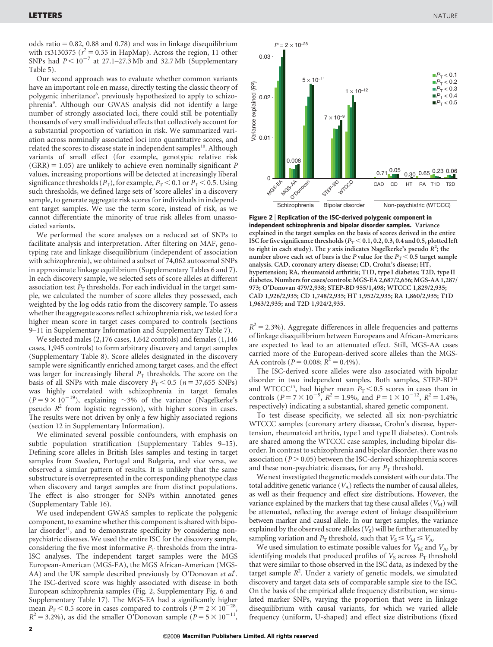odds ratio  $= 0.82$ , 0.88 and 0.78) and was in linkage disequilibrium with rs3130375 ( $r^2 = 0.35$  in HapMap). Across the region, 11 other SNPs had  $P < 10^{-7}$  at 27.1–27.3 Mb and 32.7 Mb (Supplementary Table 5).

Our second approach was to evaluate whether common variants have an important role en masse, directly testing the classic theory of polygenic inheritance<sup>8</sup>, previously hypothesized to apply to schizophrenia<sup>9</sup>. Although our GWAS analysis did not identify a large number of strongly associated loci, there could still be potentially thousands of very small individual effects that collectively account for a substantial proportion of variation in risk. We summarized variation across nominally associated loci into quantitative scores, and related the scores to disease state in independent samples<sup>10</sup>. Although variants of small effect (for example, genotypic relative risk  $(GRR) = 1.05$ ) are unlikely to achieve even nominally significant P values, increasing proportions will be detected at increasingly liberal significance thresholds ( $P_T$ ), for example,  $P_T < 0.1$  or  $P_T < 0.5$ . Using such thresholds, we defined large sets of 'score alleles' in a discovery sample, to generate aggregate risk scores for individuals in independent target samples. We use the term score, instead of risk, as we cannot differentiate the minority of true risk alleles from unassociated variants.

We performed the score analyses on a reduced set of SNPs to facilitate analysis and interpretation. After filtering on MAF, genotyping rate and linkage disequilibrium (independent of association with schizophrenia), we obtained a subset of 74,062 autosomal SNPs in approximate linkage equilibrium (Supplementary Tables 6 and 7). In each discovery sample, we selected sets of score alleles at different association test  $P<sub>T</sub>$  thresholds. For each individual in the target sample, we calculated the number of score alleles they possessed, each weighted by the log odds ratio from the discovery sample. To assess whether the aggregate scores reflect schizophrenia risk, we tested for a higher mean score in target cases compared to controls (sections 9–11 in Supplementary Information and Supplementary Table 7).

We selected males (2,176 cases, 1,642 controls) and females (1,146 cases, 1,945 controls) to form arbitrary discovery and target samples (Supplementary Table 8). Score alleles designated in the discovery sample were significantly enriched among target cases, and the effect was larger for increasingly liberal  $P<sub>T</sub>$  thresholds. The score on the basis of all SNPs with male discovery  $P_T < 0.5$  ( $n = 37,655$  SNPs) was highly correlated with schizophrenia in target females  $(P = 9 \times 10^{-19})$ , explaining ~3% of the variance (Nagelkerke's pseudo  $R^2$  from logistic regression), with higher scores in cases. The results were not driven by only a few highly associated regions (section 12 in Supplementary Information).

We eliminated several possible confounders, with emphasis on subtle population stratification (Supplementary Tables 9–15). Defining score alleles in British Isles samples and testing in target samples from Sweden, Portugal and Bulgaria, and vice versa, we observed a similar pattern of results. It is unlikely that the same substructure is overrepresented in the corresponding phenotype class when discovery and target samples are from distinct populations. The effect is also stronger for SNPs within annotated genes (Supplementary Table 16).

We used independent GWAS samples to replicate the polygenic component, to examine whether this component is shared with bipolar disorder<sup>11</sup>, and to demonstrate specificity by considering nonpsychiatric diseases. We used the entire ISC for the discovery sample, considering the five most informative  $P<sub>T</sub>$  thresholds from the intra-ISC analyses. The independent target samples were the MGS European-American (MGS-EA), the MGS African-American (MGS-AA) and the UK sample described previously by O'Donovan et  $a^{\beta}$ . The ISC-derived score was highly associated with disease in both European schizophrenia samples (Fig. 2, Supplementary Fig. 6 and Supplementary Table 17). The MGS-EA had a significantly higher mean  $P_T < 0.5$  score in cases compared to controls ( $P = 2 \times 10^{-28}$  $R^2 = 3.2\%$ ), as did the smaller O'Donovan sample ( $P = 5 \times 10^{-11}$ ,



Figure 2 <sup>|</sup> Replication of the ISC-derived polygenic component in independent schizophrenia and bipolar disorder samples. Variance explained in the target samples on the basis of scores derived in the entire ISC for five significance thresholds ( $P_T < 0.1, 0.2, 0.3, 0.4$  and 0.5, plotted left to right in each study). The y axis indicates Nagelkerke's pseudo  $R^2$ ; the number above each set of bars is the P value for the  $P_T < 0.5$  target sample analysis. CAD, coronary artery disease; CD, Crohn's disease; HT, hypertension; RA, rheumatoid arthritis; T1D, type I diabetes; T2D, type II diabetes. Numbers for cases/controls: MGS-EA 2,687/2,656; MGS-AA 1,287/ 973; O'Donovan 479/2,938; STEP-BD 955/1,498; WTCCC 1,829/2,935; CAD 1,926/2,935; CD 1,748/2,935; HT 1,952/2,935; RA 1,860/2,935; T1D 1,963/2,935; and T2D 1,924/2,935.

 $R^2 = 2.3\%$ ). Aggregate differences in allele frequencies and patterns of linkage disequilibrium between Europeans and African-Americans are expected to lead to an attenuated effect. Still, MGS-AA cases carried more of the European-derived score alleles than the MGS-AA controls ( $P = 0.008$ ;  $R^2 = 0.4\%$ ).

The ISC-derived score alleles were also associated with bipolar disorder in two independent samples. Both samples, STEP-BD<sup>12</sup> and WTCCC<sup>13</sup>, had higher mean  $P_T < 0.5$  scores in cases than in controls ( $P = 7 \times 10^{-9}$ ,  $R^2 = 1.9\%$ , and  $P = 1 \times 10^{-12}$ ,  $R^2 = 1.4\%$ , respectively) indicating a substantial, shared genetic component.

To test disease specificity, we selected all six non-psychiatric WTCCC samples (coronary artery disease, Crohn's disease, hypertension, rheumatoid arthritis, type I and type II diabetes). Controls are shared among the WTCCC case samples, including bipolar disorder. In contrast to schizophrenia and bipolar disorder, there was no association ( $P > 0.05$ ) between the ISC-derived schizophrenia scores and these non-psychiatric diseases, for any  $P<sub>T</sub>$  threshold.

We next investigated the genetic models consistent with our data. The total additive genetic variance  $(V_A)$  reflects the number of causal alleles, as well as their frequency and effect size distributions. However, the variance explained by the markers that tag these causal alleles  $(V_M)$  will be attenuated, reflecting the average extent of linkage disequilibrium between marker and causal allele. In our target samples, the variance explained by the observed score alleles  $(V<sub>S</sub>)$  will be further attenuated by sampling variation and  $P_T$  threshold, such that  $V_S \leq V_M \leq V_A$ .

We used simulation to estimate possible values for  $V_M$  and  $V_A$ , by identifying models that produced profiles of  $V<sub>S</sub>$  across  $P<sub>T</sub>$  threshold that were similar to those observed in the ISC data, as indexed by the target sample  $R^2$ . Under a variety of genetic models, we simulated discovery and target data sets of comparable sample size to the ISC. On the basis of the empirical allele frequency distribution, we simulated marker SNPs, varying the proportion that were in linkage disequilibrium with causal variants, for which we varied allele frequency (uniform, U-shaped) and effect size distributions (fixed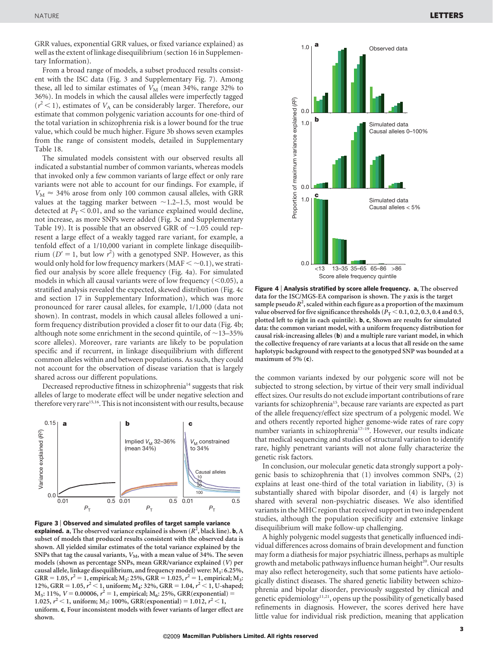GRR values, exponential GRR values, or fixed variance explained) as well as the extent of linkage disequilibrium (section 16 in Supplementary Information).

From a broad range of models, a subset produced results consistent with the ISC data (Fig. 3 and Supplementary Fig. 7). Among these, all led to similar estimates of  $V_M$  (mean 34%, range 32% to 36%). In models in which the causal alleles were imperfectly tagged  $(r^2 < 1)$ , estimates of  $V_A$  can be considerably larger. Therefore, our estimate that common polygenic variation accounts for one-third of the total variation in schizophrenia risk is a lower bound for the true value, which could be much higher. Figure 3b shows seven examples from the range of consistent models, detailed in Supplementary Table 18.

The simulated models consistent with our observed results all indicated a substantial number of common variants, whereas models that invoked only a few common variants of large effect or only rare variants were not able to account for our findings. For example, if  $V_M \approx 34\%$  arose from only 100 common causal alleles, with GRR values at the tagging marker between  $\sim$ 1.2–1.5, most would be detected at  $P_T < 0.01$ , and so the variance explained would decline, not increase, as more SNPs were added (Fig. 3c and Supplementary Table 19). It is possible that an observed GRR of  $\sim$  1.05 could represent a large effect of a weakly tagged rare variant, for example, a tenfold effect of a 1/10,000 variant in complete linkage disequilibrium ( $D' = 1$ , but low  $r^2$ ) with a genotyped SNP. However, as this would only hold for low frequency markers (MAF  $<$  ~0.1), we stratified our analysis by score allele frequency (Fig. 4a). For simulated models in which all causal variants were of low frequency  $(<0.05$ ), a stratified analysis revealed the expected, skewed distribution (Fig. 4c and section 17 in Supplementary Information), which was more pronounced for rarer causal alleles, for example, 1/1,000 (data not shown). In contrast, models in which causal alleles followed a uniform frequency distribution provided a closer fit to our data (Fig. 4b; although note some enrichment in the second quintile, of  $\sim$ 13–35% score alleles). Moreover, rare variants are likely to be population specific and if recurrent, in linkage disequilibrium with different common alleles within and between populations. As such, they could not account for the observation of disease variation that is largely shared across our different populations.

Decreased reproductive fitness in schizophrenia<sup>14</sup> suggests that risk alleles of large to moderate effect will be under negative selection and therefore very rare<sup>15,16</sup>. This is not inconsistent with our results, because



Figure 3 <sup>|</sup> Observed and simulated profiles of target sample variance **explained. a**, The observed variance explained is shown  $(R^2)$ , black line). **b**, A subset of models that produced results consistent with the observed data is shown. All yielded similar estimates of the total variance explained by the SNPs that tag the causal variants,  $V_M$ , with a mean value of 34%. The seven models (shown as percentage SNPs, mean GRR/variance explained (V) per causal allele, linkage disequilibrium, and frequency model) were:  $M_1$ : 6.25%, GRR = 1.05,  $r^2 = 1$ , empirical; M<sub>2</sub>: 25%, GRR = 1.025,  $r^2 = 1$ , empirical; M<sub>3</sub>: 12%, GRR = 1.05,  $r^2 < 1$ , uniform; M<sub>4</sub>: 32%, GRR = 1.04,  $r^2 < 1$ , U-shaped;  $M_5$ : 11%,  $V = 0.00006$ ,  $r^2 = 1$ , empirical;  $M_6$ : 25%, GRR(exponential) = 1.025,  $r^2$  < 1, uniform; M<sub>7</sub>: 100%, GRR(exponential) = 1.012,  $r^2$  < 1, uniform. c, Four inconsistent models with fewer variants of larger effect are shown.



Figure 4 <sup>|</sup> Analysis stratified by score allele frequency. a, The observed data for the ISC/MGS-EA comparison is shown. The y axis is the target sample pseudo  $R^2$ , scaled within each figure as a proportion of the maximum value observed for five significance thresholds ( $P_T < 0.1, 0.2, 0.3, 0.4$  and 0.5, plotted left to right in each quintile). b, c, Shown are results for simulated data: the common variant model, with a uniform frequency distribution for causal risk-increasing alleles (b) and a multiple rare variant model, in which the collective frequency of rare variants at a locus that all reside on the same haplotypic background with respect to the genotyped SNP was bounded at a maximum of 5% (c).

the common variants indexed by our polygenic score will not be subjected to strong selection, by virtue of their very small individual effect sizes. Our results do not exclude important contributions of rare variants for schizophrenia<sup>15</sup>, because rare variants are expected as part of the allele frequency/effect size spectrum of a polygenic model. We and others recently reported higher genome-wide rates of rare copy number variants in schizophrenia17–19. However, our results indicate that medical sequencing and studies of structural variation to identify rare, highly penetrant variants will not alone fully characterize the genetic risk factors.

In conclusion, our molecular genetic data strongly support a polygenic basis to schizophrenia that (1) involves common SNPs, (2) explains at least one-third of the total variation in liability, (3) is substantially shared with bipolar disorder, and (4) is largely not shared with several non-psychiatric diseases. We also identified variants in the MHC region that received support in two independent studies, although the population specificity and extensive linkage disequilibrium will make follow-up challenging.

A highly polygenic model suggests that genetically influenced individual differences across domains of brain development and function may form a diathesis for major psychiatric illness, perhaps as multiple growth and metabolic pathways influence human height<sup>20</sup>. Our results may also reflect heterogeneity, such that some patients have aetiologically distinct diseases. The shared genetic liability between schizophrenia and bipolar disorder, previously suggested by clinical and genetic epidemiology11,21, opens up the possibility of genetically based refinements in diagnosis. However, the scores derived here have little value for individual risk prediction, meaning that application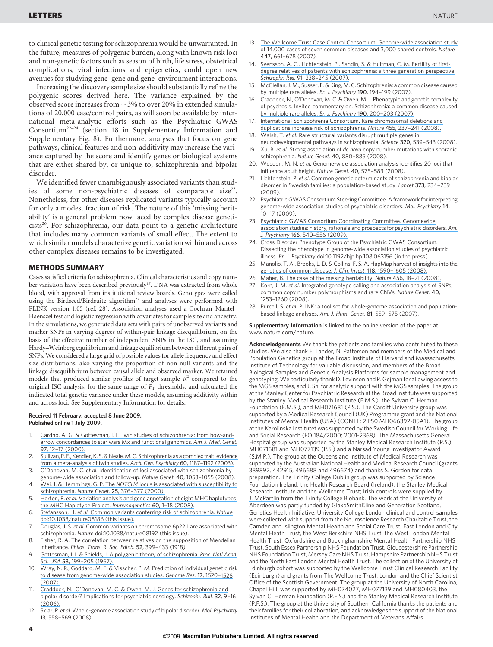to clinical genetic testing for schizophrenia would be unwarranted. In the future, measures of polygenic burden, along with known risk loci and non-genetic factors such as season of birth, life stress, obstetrical complications, viral infections and epigenetics, could open new avenues for studying gene–gene and gene–environment interactions.

Increasing the discovery sample size should substantially refine the polygenic scores derived here. The variance explained by the observed score increases from  $\sim$  3% to over 20% in extended simulations of 20,000 case/control pairs, as will soon be available by international meta-analytic efforts such as the Psychiatric GWAS Consortium22–24 (section 18 in Supplementary Information and Supplementary Fig. 8). Furthermore, analyses that focus on gene pathways, clinical features and non-additivity may increase the variance captured by the score and identify genes or biological systems that are either shared by, or unique to, schizophrenia and bipolar disorder.

We identified fewer unambiguously associated variants than studies of some non-psychiatric diseases of comparable size<sup>25</sup>. Nonetheless, for other diseases replicated variants typically account for only a modest fraction of risk. The nature of this 'missing heritability' is a general problem now faced by complex disease geneti $cists<sup>26</sup>$ . For schizophrenia, our data point to a genetic architecture that includes many common variants of small effect. The extent to which similar models characterize genetic variation within and across other complex diseases remains to be investigated.

### METHODS SUMMARY

Cases satisfied criteria for schizophrenia. Clinical characteristics and copy number variation have been described previously<sup>17</sup>. DNA was extracted from whole blood, with approval from institutional review boards. Genotypes were called using the Birdseed/Birdsuite algorithm<sup>27</sup> and analyses were performed with PLINK version 1.05 (ref. 28). Association analyses used a Cochran–Mantel– Haenszel test and logistic regression with covariates for sample site and ancestry. In the simulations, we generated data sets with pairs of unobserved variants and marker SNPs in varying degrees of within-pair linkage disequilibrium, on the basis of the effective number of independent SNPs in the ISC, and assuming Hardy–Weinberg equilibrium and linkage equilibrium between different pairs of SNPs. We considered a large grid of possible values for allele frequency and effect size distributions, also varying the proportion of non-null variants and the linkage disequilibrium between causal allele and observed marker. We retained models that produced similar profiles of target sample  $R^2$  compared to the original ISC analysis, for the same range of  $P_T$  thresholds, and calculated the indicated total genetic variance under these models, assuming additivity within and across loci. See Supplementary Information for details.

#### Received 11 February; accepted 8 June 2009. Published online 1 July 2009.

- 1. [Cardno, A. G. & Gottesman, I. I. Twin studies of schizophrenia: from bow-and](https://www.researchgate.net/publication/290112394_Twin_studies_of_schizophrenia_From_bow-and-arrow_concordances_to_Star_Wars_Mx_and_functional_genomics?el=1_x_8&enrichId=rgreq-3645cd1454aa6991301d36715ee73246-XXX&enrichSource=Y292ZXJQYWdlOzIzMjc3MjYwMjtBUzo5OTEyNTg3ODA2NzIxNEAxNDAwNjQ0ODU5NTk5)[arrow concordances to star wars Mx and functional genomics.](https://www.researchgate.net/publication/290112394_Twin_studies_of_schizophrenia_From_bow-and-arrow_concordances_to_Star_Wars_Mx_and_functional_genomics?el=1_x_8&enrichId=rgreq-3645cd1454aa6991301d36715ee73246-XXX&enrichSource=Y292ZXJQYWdlOzIzMjc3MjYwMjtBUzo5OTEyNTg3ODA2NzIxNEAxNDAwNjQ0ODU5NTk5) Am. J. Med. Genet. 97, [12–17 \(2000\).](https://www.researchgate.net/publication/290112394_Twin_studies_of_schizophrenia_From_bow-and-arrow_concordances_to_Star_Wars_Mx_and_functional_genomics?el=1_x_8&enrichId=rgreq-3645cd1454aa6991301d36715ee73246-XXX&enrichSource=Y292ZXJQYWdlOzIzMjc3MjYwMjtBUzo5OTEyNTg3ODA2NzIxNEAxNDAwNjQ0ODU5NTk5)
- 2. Sullivan, P. F., Kendler, K. S. & Neale, M. C. Schizophrenia as a complex trait: evidence [from a meta-analysis of twin studies.](https://www.researchgate.net/publication/8969701_Schizophrenia_as_a_Complex_Trait_Evidence_From_a_Meta-analysis_of_Twin_Studies?el=1_x_8&enrichId=rgreq-3645cd1454aa6991301d36715ee73246-XXX&enrichSource=Y292ZXJQYWdlOzIzMjc3MjYwMjtBUzo5OTEyNTg3ODA2NzIxNEAxNDAwNjQ0ODU5NTk5) Arch. Gen. Psychiatry 60, 1187–1192 (2003).
- 3. O'Donovan, M. C. et al. Identification of loci associated with schizophrenia by genome-wide association and follow-up. Nature Genet. 40, 1053–1055 (2008).
- 4. Wei, J. & Hemmings, G. P. The NOTCH4 [locus is associated with susceptibility to](https://www.researchgate.net/publication/12388800_The_NOTCH4_locus_is_associated_with_susceptibility_to_schizophrenia?el=1_x_8&enrichId=rgreq-3645cd1454aa6991301d36715ee73246-XXX&enrichSource=Y292ZXJQYWdlOzIzMjc3MjYwMjtBUzo5OTEyNTg3ODA2NzIxNEAxNDAwNjQ0ODU5NTk5) schizophrenia. Nature Genet. 25, 376-377 (2000).
- Horton, R. et al. [Variation analysis and gene annotation of eight MHC haplotypes:](https://www.researchgate.net/publication/5658746_Variation_analysis_and_gene_annotation_of_eight_MHC_haplotypes_The_MHC_Haplotype_Project?el=1_x_8&enrichId=rgreq-3645cd1454aa6991301d36715ee73246-XXX&enrichSource=Y292ZXJQYWdlOzIzMjc3MjYwMjtBUzo5OTEyNTg3ODA2NzIxNEAxNDAwNjQ0ODU5NTk5) [the MHC Haplotype Project.](https://www.researchgate.net/publication/5658746_Variation_analysis_and_gene_annotation_of_eight_MHC_haplotypes_The_MHC_Haplotype_Project?el=1_x_8&enrichId=rgreq-3645cd1454aa6991301d36715ee73246-XXX&enrichSource=Y292ZXJQYWdlOzIzMjc3MjYwMjtBUzo5OTEyNTg3ODA2NzIxNEAxNDAwNjQ0ODU5NTk5) Immunogenetics 60, 1-18 (2008)
- Stefansson, H. et al. [Common variants conferring risk of schizophrenia.](https://www.researchgate.net/publication/46715467_Common_variants_conferring_risk_of_schizophrenia?el=1_x_8&enrichId=rgreq-3645cd1454aa6991301d36715ee73246-XXX&enrichSource=Y292ZXJQYWdlOzIzMjc3MjYwMjtBUzo5OTEyNTg3ODA2NzIxNEAxNDAwNjQ0ODU5NTk5) Nature [doi:10.1038/nature08186 \(this issue\).](https://www.researchgate.net/publication/46715467_Common_variants_conferring_risk_of_schizophrenia?el=1_x_8&enrichId=rgreq-3645cd1454aa6991301d36715ee73246-XXX&enrichSource=Y292ZXJQYWdlOzIzMjc3MjYwMjtBUzo5OTEyNTg3ODA2NzIxNEAxNDAwNjQ0ODU5NTk5)
- 7. Douglas, J. S. et al. Common variants on chromosome 6p22.1 are associated with schizophrenia. Nature doi:10.1038/nature08192 (this issue).
- 8. Fisher, R. A. The correlation between relatives on the supposition of Mendelian inheritance. Philos. Trans. R. Soc. Edinb. 52, 399–433 (1918).
- 9. [Gottesman, I. I. & Shields, J. A polygenic theory of schizophrenia.](https://www.researchgate.net/publication/17936641_A_Polygenic_Theory_of_Schizophrenia?el=1_x_8&enrichId=rgreq-3645cd1454aa6991301d36715ee73246-XXX&enrichSource=Y292ZXJQYWdlOzIzMjc3MjYwMjtBUzo5OTEyNTg3ODA2NzIxNEAxNDAwNjQ0ODU5NTk5) Proc. Natl Acad. Sci. USA 58, 199-205 (1967).
- 10. [Wray, N. R., Goddard, M. E. & Visscher, P. M. Prediction of individual genetic risk](https://www.researchgate.net/publication/6054066_Wray_NR_Goddard_ME_Visscher_PMPrediction_of_individual_genetic_risk_to_disease_from_genome-wide_association_studies_Genome_Res_1710_1520-1528?el=1_x_8&enrichId=rgreq-3645cd1454aa6991301d36715ee73246-XXX&enrichSource=Y292ZXJQYWdlOzIzMjc3MjYwMjtBUzo5OTEyNTg3ODA2NzIxNEAxNDAwNjQ0ODU5NTk5) [to disease from genome-wide association studies.](https://www.researchgate.net/publication/6054066_Wray_NR_Goddard_ME_Visscher_PMPrediction_of_individual_genetic_risk_to_disease_from_genome-wide_association_studies_Genome_Res_1710_1520-1528?el=1_x_8&enrichId=rgreq-3645cd1454aa6991301d36715ee73246-XXX&enrichSource=Y292ZXJQYWdlOzIzMjc3MjYwMjtBUzo5OTEyNTg3ODA2NzIxNEAxNDAwNjQ0ODU5NTk5) Genome Res. 17, 1520–1528 [\(2007\).](https://www.researchgate.net/publication/6054066_Wray_NR_Goddard_ME_Visscher_PMPrediction_of_individual_genetic_risk_to_disease_from_genome-wide_association_studies_Genome_Res_1710_1520-1528?el=1_x_8&enrichId=rgreq-3645cd1454aa6991301d36715ee73246-XXX&enrichSource=Y292ZXJQYWdlOzIzMjc3MjYwMjtBUzo5OTEyNTg3ODA2NzIxNEAxNDAwNjQ0ODU5NTk5)
- 11. [Craddock, N., O'Donovan, M. C. & Owen, M. J. Genes for schizophrenia and](https://www.researchgate.net/publication/7450363_Genes_for_Schizophrenia_and_Bipolar_Disorder_Implications_for_Psychiatric_Nosology?el=1_x_8&enrichId=rgreq-3645cd1454aa6991301d36715ee73246-XXX&enrichSource=Y292ZXJQYWdlOzIzMjc3MjYwMjtBUzo5OTEyNTg3ODA2NzIxNEAxNDAwNjQ0ODU5NTk5) [bipolar disorder? Implications for psychiatric nosology.](https://www.researchgate.net/publication/7450363_Genes_for_Schizophrenia_and_Bipolar_Disorder_Implications_for_Psychiatric_Nosology?el=1_x_8&enrichId=rgreq-3645cd1454aa6991301d36715ee73246-XXX&enrichSource=Y292ZXJQYWdlOzIzMjc3MjYwMjtBUzo5OTEyNTg3ODA2NzIxNEAxNDAwNjQ0ODU5NTk5) Schizophr. Bull. 32, 9–16  $(2006)$
- Sklar, P. et al. Whole-genome association study of bipolar disorder. Mol. Psychiatry 13, 558–569 (2008).
- 13. [The Wellcome Trust Case Control Consortium. Genome-wide association study](https://www.researchgate.net/publication/232781496_The_Wellcome_Trust_Case_Control_Consortium_WTCCC_Genome-wide_association_study_of_14000_cases_of_seven_common_diseases_and_3000_shared_controls_Nature_447_661-678?el=1_x_8&enrichId=rgreq-3645cd1454aa6991301d36715ee73246-XXX&enrichSource=Y292ZXJQYWdlOzIzMjc3MjYwMjtBUzo5OTEyNTg3ODA2NzIxNEAxNDAwNjQ0ODU5NTk5) [of 14,000 cases of seven common diseases and 3,000 shared controls.](https://www.researchgate.net/publication/232781496_The_Wellcome_Trust_Case_Control_Consortium_WTCCC_Genome-wide_association_study_of_14000_cases_of_seven_common_diseases_and_3000_shared_controls_Nature_447_661-678?el=1_x_8&enrichId=rgreq-3645cd1454aa6991301d36715ee73246-XXX&enrichSource=Y292ZXJQYWdlOzIzMjc3MjYwMjtBUzo5OTEyNTg3ODA2NzIxNEAxNDAwNjQ0ODU5NTk5) Nature 447, [661–678 \(2007\).](https://www.researchgate.net/publication/232781496_The_Wellcome_Trust_Case_Control_Consortium_WTCCC_Genome-wide_association_study_of_14000_cases_of_seven_common_diseases_and_3000_shared_controls_Nature_447_661-678?el=1_x_8&enrichId=rgreq-3645cd1454aa6991301d36715ee73246-XXX&enrichSource=Y292ZXJQYWdlOzIzMjc3MjYwMjtBUzo5OTEyNTg3ODA2NzIxNEAxNDAwNjQ0ODU5NTk5)
- 14. [Svensson, A. C., Lichtenstein, P., Sandin, S. & Hultman, C. M. Fertility of first](https://www.researchgate.net/publication/6529972_Fertility_of_first-degree_relatives_of_patients_with_schizophrenia_A_three_generation_perspective?el=1_x_8&enrichId=rgreq-3645cd1454aa6991301d36715ee73246-XXX&enrichSource=Y292ZXJQYWdlOzIzMjc3MjYwMjtBUzo5OTEyNTg3ODA2NzIxNEAxNDAwNjQ0ODU5NTk5)[degree relatives of patients with schizophrenia: a three generation perspective.](https://www.researchgate.net/publication/6529972_Fertility_of_first-degree_relatives_of_patients_with_schizophrenia_A_three_generation_perspective?el=1_x_8&enrichId=rgreq-3645cd1454aa6991301d36715ee73246-XXX&enrichSource=Y292ZXJQYWdlOzIzMjc3MjYwMjtBUzo5OTEyNTg3ODA2NzIxNEAxNDAwNjQ0ODU5NTk5) Schizophr. Res. 91, [238–245 \(2007\).](https://www.researchgate.net/publication/6529972_Fertility_of_first-degree_relatives_of_patients_with_schizophrenia_A_three_generation_perspective?el=1_x_8&enrichId=rgreq-3645cd1454aa6991301d36715ee73246-XXX&enrichSource=Y292ZXJQYWdlOzIzMjc3MjYwMjtBUzo5OTEyNTg3ODA2NzIxNEAxNDAwNjQ0ODU5NTk5)
- 15. McClellan, J. M., Susser, E. & King, M. C. Schizophrenia: a common disease caused by multiple rare alleles. Br. J. Psychiatry 190, 194–199 (2007).
- 16. [Craddock, N., O'Donovan, M. C. & Owen, M. J. Phenotypic and genetic complexity](https://www.researchgate.net/publication/6476357_Phenotypic_and_genetic_complexity_of_psychosis_Invited_commentary_on_Schizophrenia_A_common_disease_caused_by_multiple_rare_alleles?el=1_x_8&enrichId=rgreq-3645cd1454aa6991301d36715ee73246-XXX&enrichSource=Y292ZXJQYWdlOzIzMjc3MjYwMjtBUzo5OTEyNTg3ODA2NzIxNEAxNDAwNjQ0ODU5NTk5) [of psychosis. Invited commentary on. Schizophrenia: a common disease caused](https://www.researchgate.net/publication/6476357_Phenotypic_and_genetic_complexity_of_psychosis_Invited_commentary_on_Schizophrenia_A_common_disease_caused_by_multiple_rare_alleles?el=1_x_8&enrichId=rgreq-3645cd1454aa6991301d36715ee73246-XXX&enrichSource=Y292ZXJQYWdlOzIzMjc3MjYwMjtBUzo5OTEyNTg3ODA2NzIxNEAxNDAwNjQ0ODU5NTk5) [by multiple rare alleles.](https://www.researchgate.net/publication/6476357_Phenotypic_and_genetic_complexity_of_psychosis_Invited_commentary_on_Schizophrenia_A_common_disease_caused_by_multiple_rare_alleles?el=1_x_8&enrichId=rgreq-3645cd1454aa6991301d36715ee73246-XXX&enrichSource=Y292ZXJQYWdlOzIzMjc3MjYwMjtBUzo5OTEyNTg3ODA2NzIxNEAxNDAwNjQ0ODU5NTk5) Br. J. Psychiatry 190, 200–203 (2007).
- 17. [International Schizophrenia Consortium. Rare chromosomal deletions and](https://www.researchgate.net/publication/23138434_Rare_chromosomal_deletions_and_duplications_increase_risk_of_schizophrenia?el=1_x_8&enrichId=rgreq-3645cd1454aa6991301d36715ee73246-XXX&enrichSource=Y292ZXJQYWdlOzIzMjc3MjYwMjtBUzo5OTEyNTg3ODA2NzIxNEAxNDAwNjQ0ODU5NTk5) [duplications increase risk of schizophrenia.](https://www.researchgate.net/publication/23138434_Rare_chromosomal_deletions_and_duplications_increase_risk_of_schizophrenia?el=1_x_8&enrichId=rgreq-3645cd1454aa6991301d36715ee73246-XXX&enrichSource=Y292ZXJQYWdlOzIzMjc3MjYwMjtBUzo5OTEyNTg3ODA2NzIxNEAxNDAwNjQ0ODU5NTk5) Nature 455, 237–241 (2008). Walsh, T. et al. Rare structural variants disrupt multiple genes in
- neurodevelopmental pathways in schizophrenia. Science 320, 539–543 (2008). 19. Xu, B. et al. Strong association of de novo copy number mutations with sporadic
- schizophrenia. Nature Genet. 40, 880–885 (2008). 20. Weedon, M. N. et al. Genome-wide association analysis identifies 20 loci that
- influence adult height. Nature Genet. 40, 575–583 (2008). 21. Lichtenstein, P. et al. Common genetic determinants of schizophrenia and bipolar
- disorder in Swedish families: a population-based study. Lancet 373, 234–239 (2009).
- 22. [Psychiatric GWAS Consortium Steering Committee. A framework for interpreting](https://www.researchgate.net/publication/232560075_The_Psychiatric_GWAS_Consortium_Steering_Committee_A_framework_for_interpreting_genome-wide_association_studies_of_psychiatric_disorders_Mol_Psychiatry_14_10-17?el=1_x_8&enrichId=rgreq-3645cd1454aa6991301d36715ee73246-XXX&enrichSource=Y292ZXJQYWdlOzIzMjc3MjYwMjtBUzo5OTEyNTg3ODA2NzIxNEAxNDAwNjQ0ODU5NTk5) [genome-wide association studies of psychiatric disorders.](https://www.researchgate.net/publication/232560075_The_Psychiatric_GWAS_Consortium_Steering_Committee_A_framework_for_interpreting_genome-wide_association_studies_of_psychiatric_disorders_Mol_Psychiatry_14_10-17?el=1_x_8&enrichId=rgreq-3645cd1454aa6991301d36715ee73246-XXX&enrichSource=Y292ZXJQYWdlOzIzMjc3MjYwMjtBUzo5OTEyNTg3ODA2NzIxNEAxNDAwNjQ0ODU5NTk5) Mol. Psychiatry 14, [10–17 \(2009\).](https://www.researchgate.net/publication/232560075_The_Psychiatric_GWAS_Consortium_Steering_Committee_A_framework_for_interpreting_genome-wide_association_studies_of_psychiatric_disorders_Mol_Psychiatry_14_10-17?el=1_x_8&enrichId=rgreq-3645cd1454aa6991301d36715ee73246-XXX&enrichSource=Y292ZXJQYWdlOzIzMjc3MjYwMjtBUzo5OTEyNTg3ODA2NzIxNEAxNDAwNjQ0ODU5NTk5)
- 23. [Psychiatric GWAS Consortium Coordinating Committee. Genomewide](https://www.researchgate.net/publication/46719401_Genomewide_association_studies_history_rationale_and_prospects_for_psychiatric_disorders?el=1_x_8&enrichId=rgreq-3645cd1454aa6991301d36715ee73246-XXX&enrichSource=Y292ZXJQYWdlOzIzMjc3MjYwMjtBUzo5OTEyNTg3ODA2NzIxNEAxNDAwNjQ0ODU5NTk5) [association studies: history, rationale and prospects for psychiatric disorders.](https://www.researchgate.net/publication/46719401_Genomewide_association_studies_history_rationale_and_prospects_for_psychiatric_disorders?el=1_x_8&enrichId=rgreq-3645cd1454aa6991301d36715ee73246-XXX&enrichSource=Y292ZXJQYWdlOzIzMjc3MjYwMjtBUzo5OTEyNTg3ODA2NzIxNEAxNDAwNjQ0ODU5NTk5) Am. J. Psychiatry 166, [540–556 \(2009\).](https://www.researchgate.net/publication/46719401_Genomewide_association_studies_history_rationale_and_prospects_for_psychiatric_disorders?el=1_x_8&enrichId=rgreq-3645cd1454aa6991301d36715ee73246-XXX&enrichSource=Y292ZXJQYWdlOzIzMjc3MjYwMjtBUzo5OTEyNTg3ODA2NzIxNEAxNDAwNjQ0ODU5NTk5)
- 24. Cross Disorder Phenotype Group of the Psychiatric GWAS Consortium. Dissecting the phenotype in genome-wide association studies of psychiatric illness. Br. J. Psychiatry doi:10.1192/bjp.bp.108.063156 (in the press).
- 25. [Manolio, T. A., Brooks, L. D. & Collins, F. S. A. HapMap harvest of insights into the](https://www.researchgate.net/publication/5400718_A_Hapmap_Harvest_of_Insights_into_the_Genetics_of_Common_Disease?el=1_x_8&enrichId=rgreq-3645cd1454aa6991301d36715ee73246-XXX&enrichSource=Y292ZXJQYWdlOzIzMjc3MjYwMjtBUzo5OTEyNTg3ODA2NzIxNEAxNDAwNjQ0ODU5NTk5) [genetics of common disease.](https://www.researchgate.net/publication/5400718_A_Hapmap_Harvest_of_Insights_into_the_Genetics_of_Common_Disease?el=1_x_8&enrichId=rgreq-3645cd1454aa6991301d36715ee73246-XXX&enrichSource=Y292ZXJQYWdlOzIzMjc3MjYwMjtBUzo5OTEyNTg3ODA2NzIxNEAxNDAwNjQ0ODU5NTk5) J. Clin. Invest. 118, 1590-1605 (2008).
- 26. [Maher, B. The case of the missing heritability.](https://www.researchgate.net/publication/31982770_The_case_of_the_missing_heritability?el=1_x_8&enrichId=rgreq-3645cd1454aa6991301d36715ee73246-XXX&enrichSource=Y292ZXJQYWdlOzIzMjc3MjYwMjtBUzo5OTEyNTg3ODA2NzIxNEAxNDAwNjQ0ODU5NTk5) Nature 456, 18–21 (2008).
- 27. Korn, J. M. et al. Integrated genotype calling and association analysis of SNPs, common copy number polymorphisms and rare CNVs. Nature Genet. 40, 1253–1260 (2008).
- 28. Purcell, S. et al. PLINK: a tool set for whole-genome association and populationbased linkage analyses. Am. J. Hum. Genet. 81, 559–575 (2007).

Supplementary Information is linked to the online version of the paper at [www.nature.com/nature](file://localhost/Users/sklar/Downloads/www.nature.com/nature).

Acknowledgements We thank the patients and families who contributed to these studies. We also thank E. Lander, N. Patterson and members of the Medical and Population Genetics group at the Broad Institute of Harvard and Massachusetts Institute of Technology for valuable discussion, and members of the Broad Biological Samples and Genetic Analysis Platforms for sample management and genotyping. We particularly thank D. Levinson and P. Gejman for allowing access to the MGS samples, and J. Shi for analytic support with the MGS samples. The group at the Stanley Center for Psychiatric Research at the Broad Institute was supported by the Stanley Medical Research Institute (E.M.S.), the Sylvan C. Herman Foundation (E.M.S.), and MH071681 (P.S.). The Cardiff University group was supported by a Medical Research Council (UK) Programme grant and the National Institutes of Mental Health (USA) (CONTE: 2 P50 MH066392-05A1). The group at the Karolinska Institutet was supported by the Swedish Council for Working Life and Social Research (FO 184/2000; 2001-2368). The Massachusetts General Hospital group was supported by the Stanley Medical Research Institute (P.S.), MH071681 and MH077139 (P.S.) and a Narsad Young Investigator Award (S.M.P.). The group at the Queensland Institute of Medical Research was supported by the Australian National Health and Medical Research Council (grants 389892, 442915, 496688 and 496674) and thanks S. Gordon for data preparation. The Trinity College Dublin group was supported by Science Foundation Ireland, the Health Research Board (Ireland), the Stanley Medical Research Institute and the Wellcome Trust; Irish controls were supplied by [J. McPartlin](https://www.researchgate.net/profile/Joe_McPartlin?el=1_x_11&enrichId=rgreq-3645cd1454aa6991301d36715ee73246-XXX&enrichSource=Y292ZXJQYWdlOzIzMjc3MjYwMjtBUzo5OTEyNTg3ODA2NzIxNEAxNDAwNjQ0ODU5NTk5) from the Trinity College Biobank. The work at the University of Aberdeen was partly funded by GlaxoSmithKline and Generation Scotland, Genetics Health Initiative. University College London clinical and control samples were collected with support from the Neuroscience Research Charitable Trust, the Camden and Islington Mental Health and Social Care Trust, East London and City Mental Heath Trust, the West Berkshire NHS Trust, the West London Mental Health Trust, Oxfordshire and Buckinghamshire Mental Health Partnership NHS Trust, South Essex Partnership NHS Foundation Trust, Gloucestershire Partnership NHS Foundation Trust, Mersey Care NHS Trust, Hampshire Partnership NHS Trust and the North East London Mental Health Trust. The collection of the University of Edinburgh cohort was supported by the Wellcome Trust Clinical Research Facility (Edinburgh) and grants from The Wellcome Trust, London and the Chief Scientist Office of the Scottish Government. The group at the University of North Carolina, Chapel Hill, was supported by MH074027, MH077139 and MH080403, the Sylvan C. Herman Foundation (P.F.S.) and the Stanley Medical Research Institute (P.F.S.). The group at the University of Southern California thanks the patients and their families for their collaboration, and acknowledges the support of the National Institutes of Mental Health and the Department of Veterans Affairs.